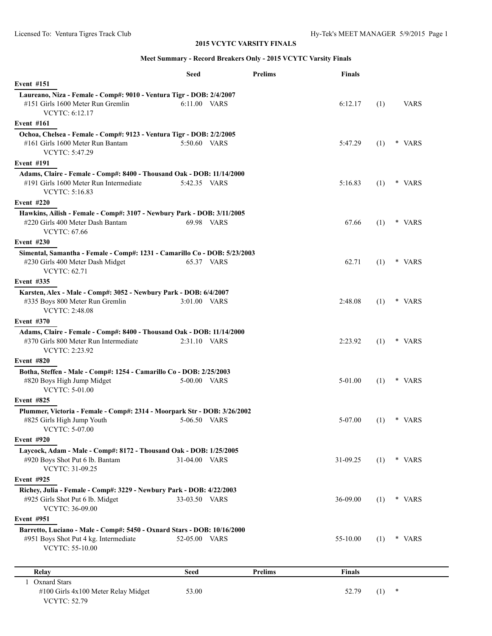## **2015 VCYTC VARSITY FINALS**

## **Meet Summary - Record Breakers Only - 2015 VCYTC Varsity Finals**

|                                                                                                                                     | Seed          | <b>Prelims</b> | <b>Finals</b> |     |        |
|-------------------------------------------------------------------------------------------------------------------------------------|---------------|----------------|---------------|-----|--------|
| <b>Event #151</b>                                                                                                                   |               |                |               |     |        |
| Laureano, Niza - Female - Comp#: 9010 - Ventura Tigr - DOB: 2/4/2007<br>#151 Girls 1600 Meter Run Gremlin                           | 6:11.00 VARS  |                | 6:12.17       | (1) | VARS   |
| VCYTC: 6:12.17                                                                                                                      |               |                |               |     |        |
| <b>Event #161</b>                                                                                                                   |               |                |               |     |        |
| Ochoa, Chelsea - Female - Comp#: 9123 - Ventura Tigr - DOB: 2/2/2005<br>#161 Girls 1600 Meter Run Bantam<br>VCYTC: 5:47.29          | 5:50.60 VARS  |                | 5:47.29       | (1) | * VARS |
| <b>Event #191</b>                                                                                                                   |               |                |               |     |        |
| Adams, Claire - Female - Comp#: 8400 - Thousand Oak - DOB: 11/14/2000<br>#191 Girls 1600 Meter Run Intermediate                     | 5:42.35 VARS  |                | 5:16.83       | (1) | * VARS |
| <b>VCYTC: 5:16.83</b>                                                                                                               |               |                |               |     |        |
| <b>Event #220</b>                                                                                                                   |               |                |               |     |        |
| Hawkins, Ailish - Female - Comp#: 3107 - Newbury Park - DOB: 3/11/2005<br>#220 Girls 400 Meter Dash Bantam<br><b>VCYTC: 67.66</b>   |               | 69.98 VARS     | 67.66         | (1) | * VARS |
| <b>Event #230</b>                                                                                                                   |               |                |               |     |        |
| Simental, Samantha - Female - Comp#: 1231 - Camarillo Co - DOB: 5/23/2003                                                           |               |                |               |     |        |
| #230 Girls 400 Meter Dash Midget<br><b>VCYTC: 62.71</b>                                                                             |               | 65.37 VARS     | 62.71         | (1) | * VARS |
| <b>Event #335</b>                                                                                                                   |               |                |               |     |        |
| Karsten, Alex - Male - Comp#: 3052 - Newbury Park - DOB: 6/4/2007<br>#335 Boys 800 Meter Run Gremlin<br>VCYTC: 2:48.08              | 3:01.00 VARS  |                | 2:48.08       | (1) | * VARS |
| Event #370                                                                                                                          |               |                |               |     |        |
| Adams, Claire - Female - Comp#: 8400 - Thousand Oak - DOB: 11/14/2000                                                               |               |                |               |     |        |
| #370 Girls 800 Meter Run Intermediate<br><b>VCYTC: 2:23.92</b>                                                                      | 2:31.10 VARS  |                | 2:23.92       | (1) | * VARS |
| Event #820                                                                                                                          |               |                |               |     |        |
| Botha, Steffen - Male - Comp#: 1254 - Camarillo Co - DOB: 2/25/2003                                                                 |               |                |               |     |        |
| #820 Boys High Jump Midget<br><b>VCYTC: 5-01.00</b>                                                                                 | 5-00.00 VARS  |                | 5-01.00       | (1) | * VARS |
| Event #825                                                                                                                          |               |                |               |     |        |
| Plummer, Victoria - Female - Comp#: 2314 - Moorpark Str - DOB: 3/26/2002                                                            |               |                |               |     |        |
| #825 Girls High Jump Youth<br><b>VCYTC: 5-07.00</b>                                                                                 | 5-06.50 VARS  |                | 5-07.00       | (1) | * VARS |
| <b>Event #920</b>                                                                                                                   |               |                |               |     |        |
| Laycock, Adam - Male - Comp#: 8172 - Thousand Oak - DOB: 1/25/2005                                                                  |               |                |               |     |        |
| #920 Boys Shot Put 6 lb. Bantam<br>VCYTC: 31-09.25                                                                                  | 31-04.00 VARS |                | 31-09.25      | (1) | * VARS |
| <b>Event #925</b>                                                                                                                   |               |                |               |     |        |
| Richey, Julia - Female - Comp#: 3229 - Newbury Park - DOB: 4/22/2003                                                                |               |                |               |     |        |
| #925 Girls Shot Put 6 lb. Midget<br>VCYTC: 36-09.00                                                                                 | 33-03.50 VARS |                | 36-09.00      | (1) | * VARS |
| <b>Event #951</b>                                                                                                                   |               |                |               |     |        |
| Barretto, Luciano - Male - Comp#: 5450 - Oxnard Stars - DOB: 10/16/2000<br>#951 Boys Shot Put 4 kg. Intermediate<br>VCYTC: 55-10.00 | 52-05.00 VARS |                | 55-10.00      | (1) | * VARS |
|                                                                                                                                     |               |                |               |     |        |

| Relay                                    | Seed  | <b>Prelims</b> | <b>Finals</b> |   |
|------------------------------------------|-------|----------------|---------------|---|
| <b>Oxnard Stars</b>                      |       |                |               |   |
| $\#100$ Girls $4x100$ Meter Relay Midget | 53.00 |                | 52.79         | ∗ |
| <b>VCYTC: 52.79</b>                      |       |                |               |   |